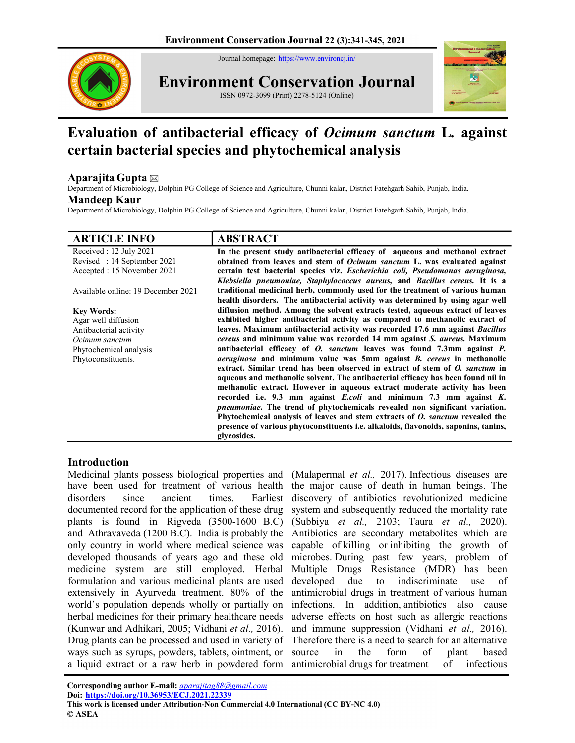Journal homepage: https://www.environcj.in/



Environment Conservation Journal ISSN 0972-3099 (Print) 2278-5124 (Online)



# Evaluation of antibacterial efficacy of Ocimum sanctum L. against certain bacterial species and phytochemical analysis

## Aparaiita Gupta  $\boxtimes$

Department of Microbiology, Dolphin PG College of Science and Agriculture, Chunni kalan, District Fatehgarh Sahib, Punjab, India.

## Mandeep Kaur

Department of Microbiology, Dolphin PG College of Science and Agriculture, Chunni kalan, District Fatehgarh Sahib, Punjab, India.

| <b>ARTICLE INFO</b>                | <b>ABSTRACT</b>                                                                            |
|------------------------------------|--------------------------------------------------------------------------------------------|
| Received : 12 July 2021            | In the present study antibacterial efficacy of aqueous and methanol extract                |
| Revised: 14 September 2021         | obtained from leaves and stem of <i>Ocimum sanctum</i> L. was evaluated against            |
| Accepted : 15 November 2021        | certain test bacterial species viz. Escherichia coli, Pseudomonas aeruginosa,              |
|                                    | Klebsiella pneumoniae, Staphylococcus aureus, and Bacillus cereus. It is a                 |
| Available online: 19 December 2021 | traditional medicinal herb, commonly used for the treatment of various human               |
|                                    | health disorders. The antibacterial activity was determined by using agar well             |
| <b>Key Words:</b>                  | diffusion method. Among the solvent extracts tested, aqueous extract of leaves             |
| Agar well diffusion                | exhibited higher antibacterial activity as compared to methanolic extract of               |
| Antibacterial activity             | leaves. Maximum antibacterial activity was recorded 17.6 mm against <i>Bacillus</i>        |
| Ocimum sanctum                     | <i>cereus</i> and minimum value was recorded 14 mm against <i>S. aureus</i> . Maximum      |
| Phytochemical analysis             | antibacterial efficacy of <i>O. sanctum</i> leaves was found 7.3mm against <i>P.</i>       |
| Phytoconstituents.                 | <i>aeruginosa</i> and minimum value was 5mm against <i>B</i> . <i>cereus</i> in methanolic |
|                                    | extract. Similar trend has been observed in extract of stem of O. sanctum in               |
|                                    | aqueous and methanolic solvent. The antibacterial efficacy has been found nil in           |
|                                    | methanolic extract. However in aqueous extract moderate activity has been                  |
|                                    | recorded i.e. 9.3 mm against E.coli and minimum 7.3 mm against K.                          |
|                                    | <i>pneumoniae</i> . The trend of phytochemicals revealed non significant variation.        |
|                                    | Phytochemical analysis of leaves and stem extracts of <i>O. sanctum</i> revealed the       |
|                                    | presence of various phytoconstituents <i>i.e.</i> alkaloids, flavonoids, saponins, tanins, |
|                                    | glycosides.                                                                                |

## Introduction

Medicinal plants possess biological properties and have been used for treatment of various health disorders since ancient times. Earliest documented record for the application of these drug plants is found in Rigveda (3500-1600 B.C) and Athravaveda (1200 B.C). India is probably the only country in world where medical science was developed thousands of years ago and these old medicine system are still employed. Herbal formulation and various medicinal plants are used extensively in Ayurveda treatment. 80% of the world's population depends wholly or partially on herbal medicines for their primary healthcare needs (Kunwar and Adhikari, 2005; Vidhani et al., 2016). Drug plants can be processed and used in variety of ways such as syrups, powders, tablets, ointment, or a liquid extract or a raw herb in powdered form

(Malapermal et al., 2017). Infectious diseases are the major cause of death in human beings. The discovery of antibiotics revolutionized medicine system and subsequently reduced the mortality rate (Subbiya et al., 2103; Taura et al., 2020). Antibiotics are secondary metabolites which are capable of killing or inhibiting the growth of microbes. During past few years, problem of Multiple Drugs Resistance (MDR) has been developed due to indiscriminate use of antimicrobial drugs in treatment of various human infections. In addition, antibiotics also cause adverse effects on host such as allergic reactions and immune suppression (Vidhani et al., 2016). Therefore there is a need to search for an alternative source in the form of plant based antimicrobial drugs for treatment of infectious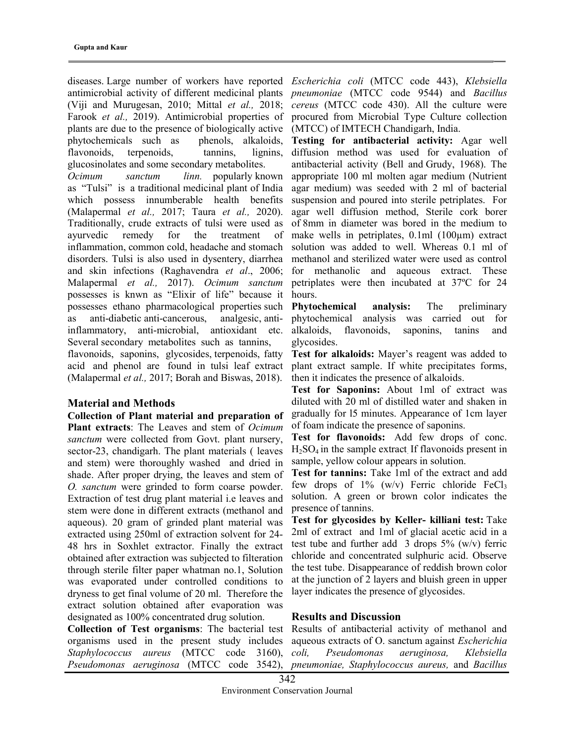diseases. Large number of workers have reported Escherichia coli (MTCC code 443), Klebsiella antimicrobial activity of different medicinal plants *pneumoniae* (MTCC code 9544) and *Bacillus* (Viji and Murugesan, 2010; Mittal et al., 2018; cereus (MTCC code 430). All the culture were Farook et al., 2019). Antimicrobial properties of plants are due to the presence of biologically active phytochemicals such as phenols, alkaloids, flavonoids, terpenoids, tannins, lignins, glucosinolates and some secondary metabolites.

Ocimum sanctum linn. popularly known as "Tulsi" is a traditional medicinal plant of India which possess innumberable health benefits (Malapermal et al., 2017; Taura et al., 2020). Traditionally, crude extracts of tulsi were used as ayurvedic remedy for the treatment of inflammation, common cold, headache and stomach disorders. Tulsi is also used in dysentery, diarrhea and skin infections (Raghavendra et al., 2006; Malapermal et al., 2017). Ocimum sanctum possesses is knwn as "Elixir of life" because it possesses ethano pharmacological properties such as anti-diabetic anti-cancerous, analgesic, antiinflammatory, anti-microbial, antioxidant etc. Several secondary metabolites such as tannins,

flavonoids, saponins, glycosides, terpenoids, fatty acid and phenol are found in tulsi leaf extract (Malapermal et al., 2017; Borah and Biswas, 2018).

#### Material and Methods

Collection of Plant material and preparation of Plant extracts: The Leaves and stem of Ocimum sanctum were collected from Govt. plant nursery, sector-23, chandigarh. The plant materials ( leaves and stem) were thoroughly washed and dried in shade. After proper drying, the leaves and stem of O. sanctum were grinded to form coarse powder. Extraction of test drug plant material i.e leaves and stem were done in different extracts (methanol and aqueous). 20 gram of grinded plant material was extracted using 250ml of extraction solvent for 24- 48 hrs in Soxhlet extractor. Finally the extract obtained after extraction was subjected to filteration through sterile filter paper whatman no.1, Solution was evaporated under controlled conditions to dryness to get final volume of 20 ml. Therefore the extract solution obtained after evaporation was designated as 100% concentrated drug solution.

Collection of Test organisms: The bacterial test organisms used in the present study includes Staphylococcus aureus (MTCC code 3160), Pseudomonas aeruginosa (MTCC code 3542),

procured from Microbial Type Culture collection (MTCC) of IMTECH Chandigarh, India.

Testing for antibacterial activity: Agar well diffusion method was used for evaluation of antibacterial activity (Bell and Grudy, 1968). The appropriate 100 ml molten agar medium (Nutrient agar medium) was seeded with 2 ml of bacterial suspension and poured into sterile petriplates. For agar well diffusion method, Sterile cork borer of 8mm in diameter was bored in the medium to make wells in petriplates, 0.1ml (100µm) extract solution was added to well. Whereas 0.1 ml of methanol and sterilized water were used as control for methanolic and aqueous extract. These petriplates were then incubated at 37ºC for 24 hours.

Phytochemical analysis: The preliminary phytochemical analysis was carried out for alkaloids, flavonoids, saponins, tanins and glycosides.

Test for alkaloids: Mayer's reagent was added to plant extract sample. If white precipitates forms, then it indicates the presence of alkaloids.

Test for Saponins: About 1ml of extract was diluted with 20 ml of distilled water and shaken in gradually for l5 minutes. Appearance of 1cm layer of foam indicate the presence of saponins.

Test for flavonoids: Add few drops of conc.  $H<sub>2</sub>SO<sub>4</sub>$  in the sample extract. If flavonoids present in sample, yellow colour appears in solution.

Test for tannins: Take 1ml of the extract and add few drops of  $1\%$  (w/v) Ferric chloride FeCl<sub>3</sub> solution. A green or brown color indicates the presence of tannins.

Test for glycosides by Keller- killiani test: Take 2ml of extract and 1ml of glacial acetic acid in a test tube and further add  $\frac{3 \text{ drops } 5\%}{\text{ (w/v)}}$  ferric chloride and concentrated sulphuric acid. Observe the test tube. Disappearance of reddish brown color at the junction of 2 layers and bluish green in upper layer indicates the presence of glycosides.

#### Results and Discussion

Results of antibacterial activity of methanol and aqueous extracts of O. sanctum against Escherichia coli, Pseudomonas aeruginosa, Klebsiella pneumoniae, Staphylococcus aureus, and Bacillus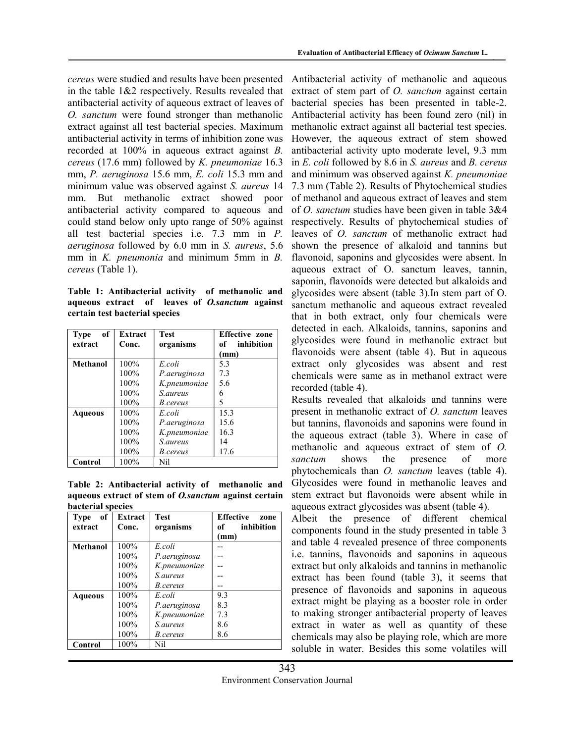cereus were studied and results have been presented in the table 1&2 respectively. Results revealed that antibacterial activity of aqueous extract of leaves of O. sanctum were found stronger than methanolic extract against all test bacterial species. Maximum antibacterial activity in terms of inhibition zone was recorded at 100% in aqueous extract against B. cereus (17.6 mm) followed by K. pneumoniae 16.3 mm, P. aeruginosa 15.6 mm, E. coli 15.3 mm and minimum value was observed against S. aureus 14 mm. But methanolic extract showed poor antibacterial activity compared to aqueous and could stand below only upto range of 50% against all test bacterial species i.e. 7.3 mm in P. aeruginosa followed by 6.0 mm in S. aureus, 5.6 mm in *K. pneumonia* and minimum 5mm in *B.* cereus (Table 1).

Table 1: Antibacterial activity of methanolic and aqueous extract of leaves of O.sanctum against certain test bacterial species

| of<br><b>Type</b> | Extract | <b>Test</b>     | <b>Effective zone</b> |
|-------------------|---------|-----------------|-----------------------|
| extract           | Conc.   | organisms       | of inhibition         |
|                   |         |                 | (mm)                  |
| Methanol          | $100\%$ | E.coli          | 5.3                   |
|                   | 100%    | P.aeruginosa    | 7.3                   |
|                   | 100%    | K.pneumoniae    | 5.6                   |
|                   | 100%    | <i>S.aureus</i> | 6                     |
|                   | 100%    | <i>B.cereus</i> | 5                     |
| <b>Aqueous</b>    | $100\%$ | E coli          | 15.3                  |
|                   | 100%    | P.aeruginosa    | 15.6                  |
|                   | 100%    | K.pneumoniae    | 16.3                  |
|                   | 100%    | S.aureus        | 14                    |
|                   | 100%    | <i>B.cereus</i> | 17.6                  |
| Control           | 100%    | Nil             |                       |

Table 2: Antibacterial activity of methanolic and aqueous extract of stem of O.sanctum against certain bacterial species

| of<br><b>Type</b><br>extract | <b>Extract</b><br>Conc. | <b>Test</b><br>organisms | <b>Effective</b><br>zone<br>inhibition<br>of<br>(mm) |
|------------------------------|-------------------------|--------------------------|------------------------------------------------------|
| <b>Methanol</b>              | 100%                    | E.coli                   |                                                      |
|                              | $100\%$                 | P.aeruginosa             |                                                      |
|                              | 100%                    | K.pneumoniae             |                                                      |
|                              | $100\%$                 | <i>S.aureus</i>          |                                                      |
|                              | 100%                    | <i>B.cereus</i>          |                                                      |
| Aqueous                      | $100\%$                 | E coli                   | 9.3                                                  |
|                              | $100\%$                 | P.aeruginosa             | 8.3                                                  |
|                              | 100%                    | K.pneumoniae             | 7.3                                                  |
|                              | 100%                    | <i>S.aureus</i>          | 8.6                                                  |
|                              | 100%                    | B.cereus                 | 8.6                                                  |
| Control                      | 100%                    | Nil                      |                                                      |

Antibacterial activity of methanolic and aqueous extract of stem part of *O. sanctum* against certain bacterial species has been presented in table-2. Antibacterial activity has been found zero (nil) in methanolic extract against all bacterial test species. However, the aqueous extract of stem showed antibacterial activity upto moderate level, 9.3 mm in E. coli followed by 8.6 in S. aureus and B. cereus and minimum was observed against K. pneumoniae 7.3 mm (Table 2). Results of Phytochemical studies of methanol and aqueous extract of leaves and stem of O. sanctum studies have been given in table 3&4 respectively. Results of phytochemical studies of leaves of O. sanctum of methanolic extract had shown the presence of alkaloid and tannins but flavonoid, saponins and glycosides were absent. In aqueous extract of O. sanctum leaves, tannin, saponin, flavonoids were detected but alkaloids and glycosides were absent (table 3).In stem part of O. sanctum methanolic and aqueous extract revealed that in both extract, only four chemicals were detected in each. Alkaloids, tannins, saponins and glycosides were found in methanolic extract but flavonoids were absent (table 4). But in aqueous extract only glycosides was absent and rest chemicals were same as in methanol extract were recorded (table 4).

Results revealed that alkaloids and tannins were present in methanolic extract of O. sanctum leaves but tannins, flavonoids and saponins were found in the aqueous extract (table 3). Where in case of methanolic and aqueous extract of stem of O. sanctum shows the presence of more phytochemicals than O. sanctum leaves (table 4). Glycosides were found in methanolic leaves and stem extract but flavonoids were absent while in aqueous extract glycosides was absent (table 4).

Albeit the presence of different chemical components found in the study presented in table 3 and table 4 revealed presence of three components i.e. tannins, flavonoids and saponins in aqueous extract but only alkaloids and tannins in methanolic extract has been found (table 3), it seems that presence of flavonoids and saponins in aqueous extract might be playing as a booster role in order to making stronger antibacterial property of leaves extract in water as well as quantity of these chemicals may also be playing role, which are more soluble in water. Besides this some volatiles will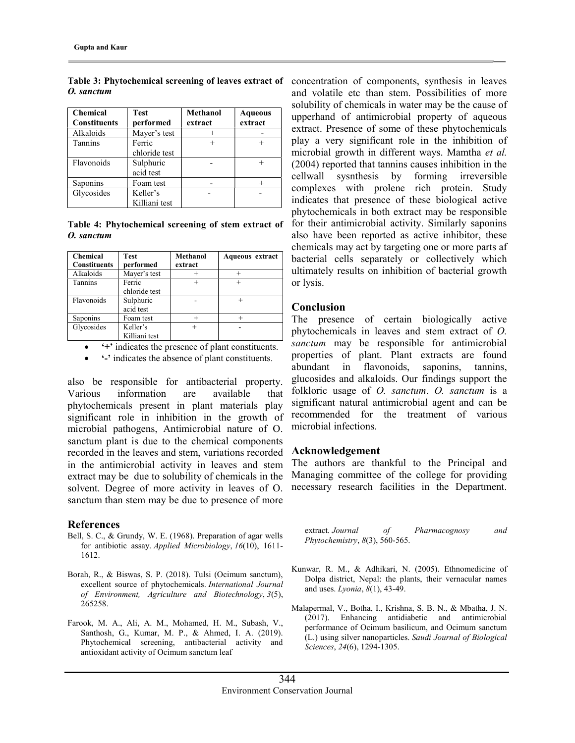| <b>Chemical</b>     | <b>Test</b>   | Methanol | <b>Aqueous</b> |
|---------------------|---------------|----------|----------------|
| <b>Constituents</b> | performed     | extract  | extract        |
| Alkaloids           | Mayer's test  |          |                |
| <b>Tannins</b>      | Ferric        |          |                |
|                     | chloride test |          |                |
| Flavonoids          | Sulphuric     |          |                |
|                     | acid test     |          |                |
| Saponins            | Foam test     |          |                |
| Glycosides          | Keller's      |          |                |
|                     | Killiani test |          |                |

O. sanctum

Table 4: Phytochemical screening of stem extract of O. sanctum

| <b>Chemical</b>     | <b>Test</b>   | <b>Methanol</b> | Aqueous extract |
|---------------------|---------------|-----------------|-----------------|
| <b>Constituents</b> | performed     | extract         |                 |
| Alkaloids           | Mayer's test  |                 |                 |
| Tannins             | Ferric        |                 |                 |
|                     | chloride test |                 |                 |
| Flavonoids          | Sulphuric     |                 |                 |
|                     | acid test     |                 |                 |
| Saponins            | Foam test     |                 |                 |
| Glycosides          | Keller's      |                 |                 |
|                     | Killiani test |                 |                 |

'+' indicates the presence of plant constituents.

'-' indicates the absence of plant constituents.

also be responsible for antibacterial property. Various information are available that phytochemicals present in plant materials play significant role in inhibition in the growth of microbial pathogens, Antimicrobial nature of O. sanctum plant is due to the chemical components recorded in the leaves and stem, variations recorded in the antimicrobial activity in leaves and stem extract may be due to solubility of chemicals in the solvent. Degree of more activity in leaves of O. sanctum than stem may be due to presence of more

#### References

- Bell, S. C., & Grundy, W. E. (1968). Preparation of agar wells for antibiotic assay. Applied Microbiology, 16(10), 1611- 1612.
- Borah, R., & Biswas, S. P. (2018). Tulsi (Ocimum sanctum), excellent source of phytochemicals. International Journal of Environment, Agriculture and Biotechnology, 3(5), 265258.
- Farook, M. A., Ali, A. M., Mohamed, H. M., Subash, V., Santhosh, G., Kumar, M. P., & Ahmed, I. A. (2019). Phytochemical screening, antibacterial activity and antioxidant activity of Ocimum sanctum leaf

Table 3: Phytochemical screening of leaves extract of concentration of components, synthesis in leaves and volatile etc than stem. Possibilities of more solubility of chemicals in water may be the cause of upperhand of antimicrobial property of aqueous extract. Presence of some of these phytochemicals play a very significant role in the inhibition of microbial growth in different ways. Mamtha et al. (2004) reported that tannins causes inhibition in the cellwall sysnthesis by forming irreversible complexes with prolene rich protein. Study indicates that presence of these biological active phytochemicals in both extract may be responsible for their antimicrobial activity. Similarly saponins also have been reported as active inhibitor, these chemicals may act by targeting one or more parts af bacterial cells separately or collectively which ultimately results on inhibition of bacterial growth or lysis.

### **Conclusion**

The presence of certain biologically active phytochemicals in leaves and stem extract of O. sanctum may be responsible for antimicrobial properties of plant. Plant extracts are found abundant in flavonoids, saponins, tannins, glucosides and alkaloids. Our findings support the folkloric usage of *O. sanctum. O. sanctum* is a significant natural antimicrobial agent and can be recommended for the treatment of various microbial infections.

#### Acknowledgement

The authors are thankful to the Principal and Managing committee of the college for providing necessary research facilities in the Department.

extract. Journal of Pharmacognosy and Phytochemistry, 8(3), 560-565.

- Kunwar, R. M., & Adhikari, N. (2005). Ethnomedicine of Dolpa district, Nepal: the plants, their vernacular names and uses. Lyonia, 8(1), 43-49.
- Malapermal, V., Botha, I., Krishna, S. B. N., & Mbatha, J. N. (2017). Enhancing antidiabetic and antimicrobial performance of Ocimum basilicum, and Ocimum sanctum (L.) using silver nanoparticles. Saudi Journal of Biological Sciences, 24(6), 1294-1305.